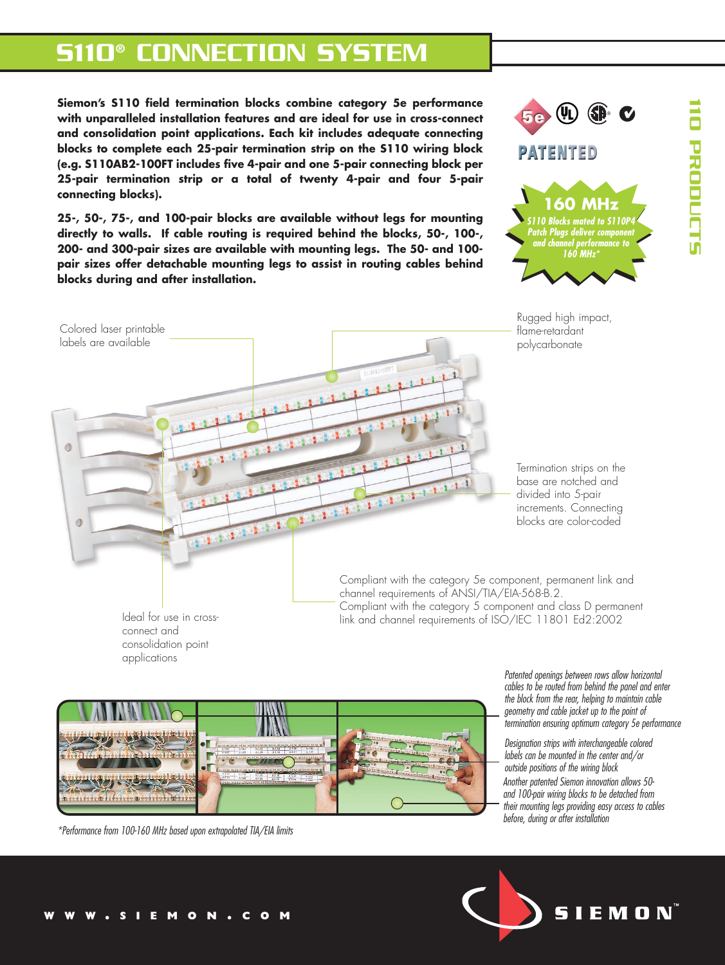# S110® CONNECTION SYSTEM

**Siemon's S110 field termination blocks combine category 5e performance with unparalleled installation features and are ideal for use in cross-connect and consolidation point applications. Each kit includes adequate connecting blocks to complete each 25-pair termination strip on the S110 wiring block (e.g. S110AB2-100FT includes five 4-pair and one 5-pair connecting block per 25-pair termination strip or a total of twenty 4-pair and four 5-pair connecting blocks).**

**25-, 50-, 75-, and 100-pair blocks are available without legs for mounting directly to walls. If cable routing is required behind the blocks, 50-, 100-, 200- and 300-pair sizes are available with mounting legs. The 50- and 100 pair sizes offer detachable mounting legs to assist in routing cables behind blocks during and after installation.** 



110 PRODUCTS

**PRODUCT** 



Ideal for use in crossconnect and consolidation point applications

 $\Box$ 

 $\sqrt{2}$ 

Compliant with the category 5e component, permanent link and channel requirements of ANSI/TIA/EIA-568-B.2. Compliant with the category 5 component and class D permanent link and channel requirements of ISO/IEC 11801 Ed2:2002



*\*Performance from 100-160 MHz based upon extrapolated TIA/EIA limits*

*Patented openings between rows allow horizontal cables to be routed from behind the panel and enter the block from the rear, helping to maintain cable geometry and cable jacket up to the point of termination ensuring optimum category 5e performance*

*Another patented Siemon innovation allows 50 and 100-pair wiring blocks to be detached from their mounting legs providing easy access to cables before, during or after installation Designation strips with interchangeable colored labels can be mounted in the center and/or outside positions of the wiring block*